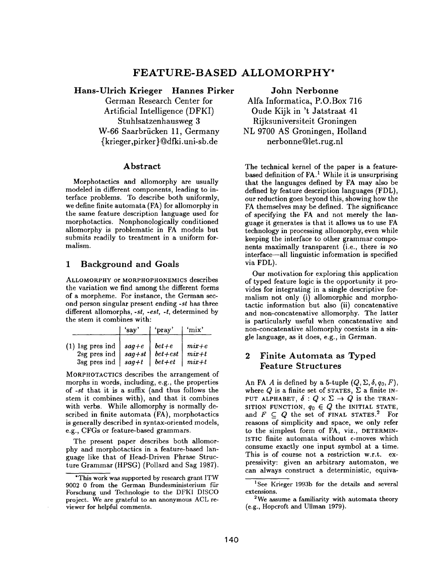# **FEATURE-BASED ALLOMORPHY\***

Hans-Ulrich Krieger Hannes Pirker German Research Center for Artificial Intelligence (DFKI) Stuhlsatzenhausweg 3 W-66 Saarbrücken 11, Germany {krieger,pirker} @dfki.uni-sb.de

## Abstract

Morphotactics and allomorphy are usually modeled in different components, leading to interface problems. To describe both uniformly, we define finite automata (FA) for allomorphy in the same feature description language used for morphotactics. Nonphonologically conditioned allomorphy is problematic in FA models but submits readily to treatment in a uniform formalism.

# 1 Background and Goals

ALLOMORPHY or MORPHOPHONEMICS describes the variation we find among the different forms of a morpheme. For instance, the German second person singular present ending *-st* has three different allomorphs, *-st, -est, -t,* determined by the stem it combines with:

|                                                                                                                                 | 'say | 'pray'                                                 | 'mix'                    |
|---------------------------------------------------------------------------------------------------------------------------------|------|--------------------------------------------------------|--------------------------|
| (1) lsg pres ind $\vert$ sag+e $\vert$ bet+e $\vert$ mix+e<br>2sg pres ind $\vert$ sag+st<br>$3sg$ pres ind   sag +t   bet + et |      | $\vert \text{ bet} + \text{est} \vert \text{ mix} + t$ | $\left  \right.$ mix + t |

MORPHOTACTICS describes the arrangement of morphs in words, including, e.g., the properties of *-st* that it is a suffix (and thus follows the stem it combines with), and that it combines with verbs. While allomorphy is normally described in finite automata (FA), morphotactics is generally described in syntax-oriented models, e.g., CFGs or feature-based grammars.

The present paper describes both allomorphy and morphotactics in a feature-based language like that of Head-Driven Phrase Structure Grammar (HPSG) (Pollard and Sag 1987). **John Nerbonne** 

Alfa Informatica, P.O.Box 716 Oude Kijk in 't Jatstraat 41 Rijksuniversiteit Groningen NL 9700 AS Groningen, Holland nerbonne@let.rug.nl

The technical kernel of the paper is a featurebased definition of  $FA$ .<sup>1</sup> While it is unsurprising that the languages defined by FA may also be defined by feature description languages (FDL), our reduction goes beyond this, showing how the FA themselves may be defined. The significance of specifying the FA and not merely the language it generates is that it allows us to use FA technology in processing allomorphy, even while keeping the interface to other grammar components maximally transparent (i.e., there is NO interface--all linguistic information is specified via FDL).

Our motivation for exploring this application of typed feature logic is the opportunity it provides for integrating in a single descriptive formalism not only (i) allomorphic and morphotactic information but also (ii) coneatenative and non-concatenative allomorphy. The latter is particularly useful when concatenative and non-concatenative allomorphy coexists in a single language, as it does, e.g., in German.

# 2 Finite Automata as Typed Feature Structures

An FA A is defined by a 5-tuple  $(Q, \Sigma, \delta, q_0, F)$ , where Q is a finite set of STATES,  $\Sigma$  a finite IN-PUT ALPHABET,  $\delta: Q \times \Sigma \rightarrow Q$  is the TRAN-SITION FUNCTION,  $q_0 \in Q$  the INITIAL STATE, and  $F \subseteq Q$  the set of FINAL STATES.<sup>2</sup> For reasons of simplicity and space, we only refer to the simplest form of FA, viz., DETERMIN-ISTIC finite automata without  $\epsilon$ -moves which consume exactly one input symbol at a time. This is of course not a restriction w.r.t. expressivity: given an arbitrary automaton, we can always construct a deterministic, equiva-

<sup>\*</sup>This work was supported by research grant ITW 9002 0 from the German Bundesministerium für Forschung und Technologie to the DFKI DISCO project. We are grateful to an anonymous ACL reviewer for helpful comments.

<sup>&</sup>lt;sup>1</sup>See Krieger 1993b for the details and several extensions.

 $2$ We assume a familiarity with automata theory (e.g., Hopcroft and Ullman 1979).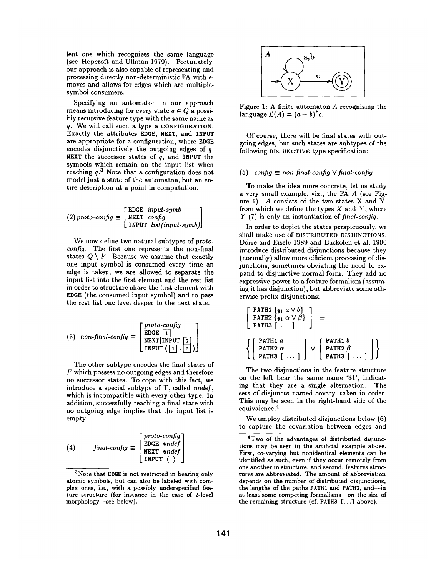lent one which recognizes the same language (see Hopcroft and Ullman 1979). Fortunately, our approach is also capable of representing and processing directly non-deterministic FA with  $\epsilon$ moves and allows for edges which are multiplesymbol consumers.

Specifying an automaton in our approach means introducing for every state  $q \in Q$  a possibly recursive feature type with the same name as q. We will call such a type a CONFIGURATION. Exactly the attributes EDGE, NEXT, and INPUT are appropriate for a configuration, where EDGE encodes disjunctively the outgoing edges of q, NEXT the successor states of  $q$ , and INPUT the symbols which remain on the input list when reaching  $q<sup>3</sup>$  Note that a configuration does not model just a state of the automaton, but an entire description at a point in computation.

$$
(2) \; proto\text{-}config \equiv \begin{bmatrix} \text{EDGE} & input\text{-}symb \\ \text{NEXT} & \text{config} \\ \text{INPUT} & list(input\text{-}symb) \end{bmatrix}
$$

We now define two natural subtypes of *protocon fig.* The first one represents the non-final states  $Q \setminus F$ . Because we assume that exactly one input symbol is consumed every time an edge is taken, we are allowed to separate the input list into the first element and the rest list in order to structure-share the first element with EDGE (the consumed input symbol) and to pass the rest list one level deeper to the next state.

(3) non-finalconfig 
$$
\equiv \begin{bmatrix} proto\text{-}config\\ \text{EOGE} & 1\\ \text{NEXT} & 1\\ \text{INPUT} & 2\\ \text{INPUT} & 1\end{bmatrix}
$$

The other subtype encodes the final states of F which possess no outgoing edges and therefore no successor states. To cope with this fact, we introduce a special subtype of T, called *under,*  which is incompatible with every other type. In addition, successfully reaching a final state with no outgoing edge implies that the input list is empty.

(4) final-config 
$$
\equiv \begin{bmatrix} proto-config \\ EDCE \tundef \\ NEXT \tundef \\ INPUT \tbinom{}{} \tbinom{}{} \tbinom{}{} \tbinom{}{} \tbinom{}{} \tbinom{}{} \tbinom{}{} \tbinom{}{} \tbinom{}{} \tbinom{}{} \tbinom{}{} \tbinom{}{} \tbinom{}{} \tbinom{}{} \tbinom{}{} \tbinom{}{} \tbinom{}{} \tbinom{}{} \tbinom{}{} \tbinom{}{} \tbinom{}{} \tbinom{}{} \tbinom{}{} \tbinom{}{} \tbinom{}{} \tbinom{}{} \tbinom{}{} \tbinom{}{} \tbinom{}{} \tbinom{}{} \tbinom{}{} \tbinom{}{} \tbinom{}{} \tbinom{}{} \tbinom{}{} \tbinom{}{} \tbinom{}{} \tbinom{}{} \tbinom{}{} \tbinom{}{} \tbinom{}{} \tbinom{}{} \tbinom{}{} \tbinom{}{} \tbinom{}{} \tbinom{}{} \tbinom{}{} \tbinom{}{} \tbinom{}{} \tbinom{}{} \tbinom{}{} \tbinom{}{} \tbinom{}{} \tbinom{}{} \tbinom{}{} \tbinom{}{} \tbinom{}{} \tbinom{}{} \tbinom{}{} \tbinom{}{} \tbinom{}{} \tbinom{}{} \tbinom{}{} \tbinom{}{} \tbinom{}{} \tbinom{}{} \tbinom{}{} \tbinom{}{} \tbinom{}{} \tbinom{}{} \tbinom{}{} \tbinom{}{} \tbinom{}{} \tbinom{}{} \tbinom{}{} \tbinom{}{} \tbinom{}{} \tbinom{}{} \tbinom{}{} \tbinom{}{} \tbinom{}{} \tbinom{}{} \tbinom{}{} \tbinom{}{} \tbinom{}{} \tbinom{}{} \tbinom{}{} \tbinom{}{} \tbinom{}{} \tbinom{}{} \tbinom{}{} \tbinom{}{} \tbinom{}{} \tbinom{}{} \tbinom{}{} \tbinom{}{} \tbinom{}{} \tbinom{}{} \tbinom{}{} \tbinom{}{} \tbinom{}{} \tbinom{}{} \tbinom{}{} \tbinom{}{} \tbinom{}{} \tbinom{}{} \tbinom{}{} \tbinom{}{} \tbinom{}{} \tbinom{}{} \tbinom{}{} \tbinom{}{} \tbinom{}{} \tbinom{}{} \tbinom{}{} \tbinom{}{} \tbinom{}{} \tbinom{}{} \tbinom{}{} \tbinom{}{} \tbinom{}{}
$$



Figure 1: A finite automaton A recognizing the language  $\mathcal{L}(A) = (a + b)^* c$ .

Of course, there will be final states with outgoing edges, but such states are subtypes of the following DISJUNCTIVE type specification:

### $(5)$  *config*  $\equiv$  *non-final-config*  $\vee$  *final-config*

To make the idea more concrete, let us study a very small example, viz., the FA A (see Figure 1). A consists of the two states  $X$  and  $Y$ , from which we define the types  $X$  and  $Y$ , where Y (7) is only an instantiation of *final-config.* 

In order to depict the states perspicuously, we shall make use of DISTRIBUTED DISJUNCTIONS. Dörre and Eisele 1989 and Backofen et al. 1990 introduce distributed disjunctions because they (normally) allow more efficient processing of disjunctions, sometimes obviating the need to expand to disjunctive normal form. They add no expressive power to a feature formalism (assuming it has disjunction), but abbreviate some otherwise prolix disjunctions:

$$
\begin{bmatrix}\n\text{PATH } \{s_1 \ a \lor b\} \\
\text{PATH } \{s_1 \ \alpha \lor \beta\} \\
\text{PATH } 3 \end{bmatrix} = \left\{\n\begin{bmatrix}\n\text{PATH } a \\
\text{PATH } a \\
\text{PATH } 2 \ \alpha \\
\text{PATH } 1 \end{bmatrix} \lor \left[\n\begin{bmatrix}\n\text{PATH } b \\
\text{PATH } 2 \ \beta \\
\text{PATH } 3 \end{bmatrix}\right]\n\right\}
$$

The two disjunctions in the feature structure on the left bear the same name '\$1', indicating that they are a single alternation. The sets of disjuncts named covary, taken in order. This may be seen in the right-hand side of the equivalence. 4

We employ distributed disjunctions below (6) to capture the covariation between edges and

 $3$ Note that EDGE is not restricted in bearing only atomic symbols, but can also be labeled with complex ones, i.e., with a possibly underspecified feature structure (for instance in the case of 2-1evel morphology-see below).

<sup>4</sup>Two of the advantages of distributed disjunctions may be seen in the artificial example above. First, co-varying but nonidentical elements can be identified as such, even if they occur remotely from one another in structure, and second, features structures are abbreviated. The amount of abbreviation depends on the number of distributed disjunctions, the lengths of the paths PATH1 and PATH2, and--in at least some competing formalisms--on the size of the remaining structure (cf. PATH3 [...] above).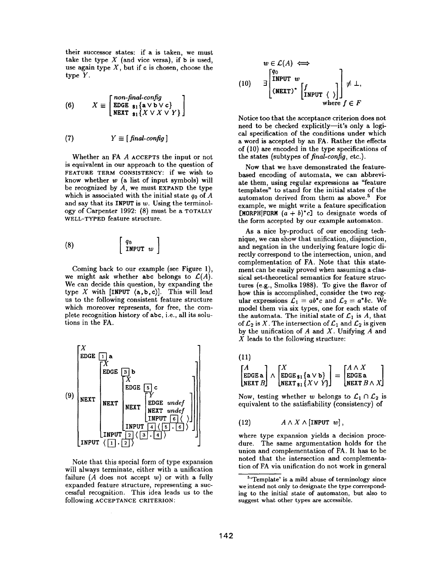their successor states: if a is taken, we must take the type  $X$  (and vice versa), if b is used, use again type  $X$ , but if c is chosen, choose the type Y.

(6) 
$$
X \equiv \begin{bmatrix} non-final.config \\ \text{EDGE } \mathfrak{s}_1 \{ \mathbf{a} \vee \mathbf{b} \vee \mathbf{c} \} \\ \text{NEXT } \mathfrak{s}_1 \{ X \vee X \vee Y \} \end{bmatrix}
$$

(7) 
$$
Y \equiv [ \text{ final-config } ]
$$

Whether an FA A ACCEPTS the input or not is equivalent in our approach to the question of FEATURE TERM CONSISTENCY: if we wish to know whether  $w$  (a list of input symbols) will be recognized by  $A$ , we must EXPAND the type which is associated with the initial state  $q_0$  of A and say that its INPUT is  $w$ . Using the terminology of Carpenter 1992: (8) must be a TOTALLY WELL-TYPED feature structure.

$$
(8) \qquad \qquad \left[ \begin{array}{c} q_0 \\ \text{INPUT} \end{array} w \right]
$$

Coming back to our example (see Figure 1), we might ask whether abc belongs to  $\mathcal{L}(A)$ . We can decide this question, by expanding the type  $X$  with [INPUT  $(a,b,c)$ ]. This will lead us to the following consistent feature structure which moreover represents, for free, the complete recognition history of abc, i.e., all its solutions in the FA.



Note that this special form of type expansion will always terminate, either with a unification failure  $(A \text{ does not accept } w)$  or with a fully expanded feature structure, representing a successful recognition. This idea leads us to the following ACCEPTANCE CRITERION:

$$
w \in \mathcal{L}(A) \iff
$$
  
(10) 
$$
\exists \begin{bmatrix} q_0 \\ \text{INPUT} & w \\ (\text{NEXT})^* & \begin{bmatrix} f \\ \text{INPUT} & \end{bmatrix} \end{bmatrix} \neq \bot,
$$
  
where  $f \in F$ 

Notice too that the acceptance criterion does not need to be checked explicitly-it's only a logical specification of the conditions under which a word is accepted by an FA. Rather the effects of (10) are encoded in the type specifications of the states (subtypes of *final-config,* etc.).

Now that we have demonstrated the featurebased encoding of automata, we can abbreviate them, using regular expressions as "feature templates" to stand for the initial states of the automaton derived from them as above.<sup>5</sup> For example, we might write a feature specification [MORPH|FORM  $(a + b)^*c$ ] to designate words of the form accepted by our example automaton.

As a nice by-product of our encoding technique, we can show that unification, disjunction, and negation in the underlying feature logic directly correspond to the intersection, union, and complementation of FA. Note that this statement can be easily proved when assuming a classical set-theoretical semantics for feature structures (e.g., Smolka 1988). To give the flavor of how this is accomplished, consider the two regular expressions  $\mathcal{L}_1 = ab^*c$  and  $\mathcal{L}_2 = a^*bc$ . We model them via six types, one for each state of the automata. The initial state of  $\mathcal{L}_1$  is A, that of  $\mathcal{L}_2$  is X. The intersection of  $\mathcal{L}_1$  and  $\mathcal{L}_2$  is given by the unification of  $A$  and  $X$ . Unifying  $A$  and  $X$  leads to the following structure:

(11)  
\n
$$
\begin{bmatrix} A \\ EDGE \end{bmatrix} \wedge \begin{bmatrix} X \\ EDGE_{31} \{a \vee b\} \\ NEXT_{31} \{X \vee Y\} \end{bmatrix} = \begin{bmatrix} A \wedge X \\ EDGE \mathbf{a} \\ NEXT \, B \wedge X \end{bmatrix}
$$

Now, testing whether w belongs to  $\mathcal{L}_1 \cap \mathcal{L}_2$  is equivalent to the satisfiability (consistency) of

$$
(12) \t\t A \wedge X \wedge [\text{INPUT } w],
$$

where type expansion yields a decision procedure. The same argumentation holds for the union and complementation of FA. It has to be noted that the intersection and complementation of FA via unification do not work in general

<sup>5&#</sup>x27;Template' is a mild abuse of terminology since we intend not only to designate the type corresponding to the initial state of automaton, but also to suggest what other types are accessible.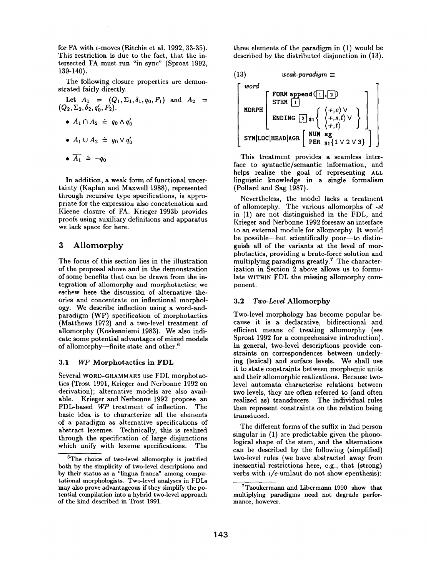for FA with  $\epsilon$ -moves (Ritchie et al. 1992, 33-35). This restriction is due to the fact, that the intersected FA must run "in sync" (Sproat 1992, 139-140).

The following closure properties are demonstrated fairly directly.

Let  $A_1 = (Q_1, \Sigma_1, \delta_1, q_0, F_1)$  and  $A_2 =$  $(Q_2, \Sigma_2, \delta_2, q'_0, F_2).$ 

$$
\bullet \ \ A_1 \cap A_2 \ \doteq \ q_0 \wedge q'_0
$$

•  $A_1 \cup A_2 \; \hat{=} \; q_0 \vee q'_0$ 

$$
\bullet \ \overline{A_1} \ \hat{=} \ \neg q_0
$$

In addition, a weak form of functional uncertainty (Kaplan and Maxwell 1988), represented through recursive type specifications, is appropriate for the expression also concatenation and Kleene closure of FA. Krieger 1993b provides proofs using auxiliary definitions and apparatus we lack space for here.

## 3 Allomorphy

The focus of this section lies in the illustration of the proposal above and in the demonstration of some benefits that can be drawn from the integration of allomorphy and morphotactics; we eschew here the discussion of alternative theories and concentrate on inflectional morphology. We describe inflection using a word-andparadigm (WP) specification of morphotactics (Matthews 1972) and a two-level treatment of allomorphy (Koskenniemi 1983). We also indicate some potential advantages of mixed models of allomorphy--finite state and other.<sup>6</sup>

#### 3.1 *WP* Morphotactics in FDL

Several WORD-GRAMMARS use FDL morphotactics (Trost 1991, Krieger and Nerbonne 1992 on derivation); alternative models are also available. Krieger and Nerbonne 1992 propose an FDL-based *WP* treatment of inflection. The basic idea is to characterize all the elements of a paradigm as alternative specifications of abstract lexemes. Technically, this is realized through the specification of large disjunctions which unify with lexeme specifications. The three elements of the paradigm in (1) would be described by the distributed disjunction in (13).



This treatment provides a seamless interface to syntactic/semantic information, and helps realize the goal of representing ALL linguistic knowledge in a single formalism (Pollard and Sag 1987).

Nevertheless, the model lacks a treatment of allomorphy. The various allomorphs of *-st*  in (1) are not distinguished in the FDL, and Krieger and Nerbonne 1992 foresaw an interface to an external module for allomorphy. It would be possible—but scientifically poor—to distinguish all of the variants at the level of morphotactics, providing a brute-force solution and multiplying paradigms greatly.<sup>7</sup> The characterization in Section 2 above allows us to formulate WITHIN FDL the missing allomorphy component.

#### 3.2 *Two-Level* Allomorphy

Two-level morphology has become popular because it is a declarative, bidirectional and efficient means of treating allomorphy (see Sproat 1992 for a comprehensive introduction). In general, two-level descriptions provide constraints on correspondences between underlying (lexical) and surface levels. We shall use it to state constraints between morphemic units and their allomorphic realizations. Because twolevel automata characterize relations between two levels, they are often referred to (and often realized as) transducers. The individual rules then represent constraints on the relation being transduced.

The different forms of the suffix in 2nd person singular in (1) are predictable given the phonological shape of the stem, and the alternations can be described by the following (simplified) two-level rules (we have abstracted away from inessential restrictions here, e.g., that (strong) verbs with *i/e-umlaut* do not show epenthesis):

 ${}^{6}$ The choice of two-level allomorphy is justified both by the simplicity of two-level descriptions and by their status as a "lingua franca" among computational morphologists. Two-level analyses in FDLs may also prove advantageous if they simplify the potential compilation into a hybrid two-level approach of the kind described in Trost 1991.

 $7$ Tzoukermann and Libermann 1990 show that multiplying paradigms need not degrade performance, however.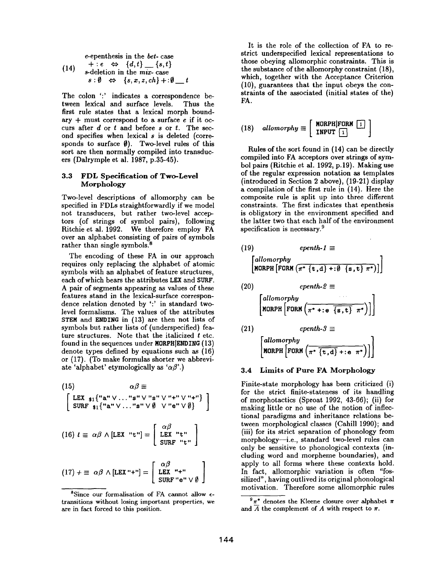e-epenthesis in the bet-case  
\n
$$
+ :e \Leftrightarrow \{d,t\} \_ \{s,t\}
$$
\n
$$
s\text{-deletion in the mix-case}
$$
\n
$$
s : \emptyset \Leftrightarrow \{s,x,z,ch\} + : \emptyset \_ t
$$

The colon ':' indicates a correspondence between lexical and surface levels. Thus the first rule states that a lexical morph boundary  $+$  must correspond to a surface  $e$  if it occurs after  $d$  or  $t$  and before  $s$  or  $t$ . The second specifies when lexical s is deleted (corresponds to surface  $\emptyset$ ). Two-level rules of this sort are then normally compiled into transducers (Dalrymple et al. 1987, p.35-45).

### 3.3 FDL Specification of **Two-Level**  Morphology

Two-level descriptions of allomorphy can be specified in FDLs straightforwardly if we model not transducers, but rather two-level acceptors (of strings of symbol pairs), following Ritchie et al. 1992. We therefore employ FA over an alphabet consisting of pairs of symbols rather than single symbols. $8$ 

The encoding of these FA in our approach requires only replacing the alphabet of atomic symbols with an alphabet of feature structures, each of which bears the attributes LEX and SURF. A pair of segments appearing as values of these features stand in the lexical-surface correspondence relation denoted by ':' in standard twolevel formalisms. The values of the attributes STEM and ENDING in (13) are then not lists of symbols but rather lists of (underspecified) feature structures. Note that the italicized  $t$  etc. found in the sequences under MORPH|ENDING (13) denote types defined by equations such as (16) or (17). (To make formulas shorter we abbreviate 'alphabet' etymologically as ' $\alpha \beta'$ .)

(15) 
$$
\alpha\beta \equiv
$$
  
\n
$$
\begin{bmatrix}\n\text{LEX}_{\$1}\{\text{``a''}\lor\ldots\text{``s''}\lor\text{``s''}\lor\text{``+''}\lor\text{''+''}\} \\
\text{SURF}_{\$1}\{\text{``a''}\lor\ldots\text{``s''}\lor\emptyset\quad\lor\text{``e''}\lor\emptyset\n\end{bmatrix}
$$

(16) 
$$
t \equiv \alpha \beta \wedge [\text{LEX "t"]} = \begin{bmatrix} \alpha \beta \\ \text{LEX "t"} \\ \text{SURF "t"} \end{bmatrix}
$$

$$
(17) + \equiv \alpha \beta \wedge [\text{LEX "+"]} = \left[ \begin{array}{c} \alpha \beta \\ \text{LEX "+"} \\ \text{SURF "e" } \vee \emptyset \end{array} \right]
$$

It is the role of the collection of FA to restrict underspecifled lexical representations to those obeying allomorphic constraints. This is the substance of the allomorphy constraint (18), which, together with the Acceptance Criterion (10), guarantees that the input obeys the constraints of the associated (initial states of the) FA.

(18) *alloworphy* 
$$
\equiv
$$
  $\left[\begin{array}{c}\text{MORPH}|\text{FORM} \hspace{0.2cm} \boxed{1} \\ \text{INPUT} \hspace{0.2cm} \boxed{1}\end{array}\right]$ 

Rules of the sort found in (14) can be directly compiled into FA acceptors over strings of symbol pairs (Ritchie et al. 1992, p.19). Making use of the regular expression notation as templates (introduced in Section 2 above), (19-21) display a compilation of the first rule in (14). Here the composite rule is split up into three different constraints. The first indicates that epenthesis is obligatory in the environment specified and the latter two that each half of the environment specification is necessary.<sup>9</sup>

(19) *eventh-1* 
$$
\equiv
$$
  
\n
$$
\begin{bmatrix}\nallowp\\
allowp\\
\end{bmatrix}
$$
\n
$$
\begin{bmatrix}\nallowp\\
\end{bmatrix}
$$
\n
$$
\begin{bmatrix}\nallowp\\
\end{bmatrix}
$$
\n
$$
\begin{bmatrix}\nconf\\
ORPH \end{bmatrix}
$$
\n
$$
\begin{bmatrix}\n \text{for } (n^* + 1, 1) + 10 \text{ s.t. } n^* \text{ s.t. } n^* \text{ s.t. } n^* \text{ s.t. } n^* \text{ s.t. } n^* \text{ s.t. } n^* \text{ s.t. } n^* \text{ s.t. } n^* \text{ s.t. } n^* \text{ s.t. } n^* \text{ s.t. } n^* \text{ s.t. } n^* \text{ s.t. } n^* \text{ s.t. } n^* \text{ s.t. } n^* \text{ s.t. } n^* \text{ s.t. } n^* \text{ s.t. } n^* \text{ s.t. } n^* \text{ s.t. } n^* \text{ s.t. } n^* \text{ s.t. } n^* \text{ s.t. } n^* \text{ s.t. } n^* \text{ s.t. } n^* \text{ s.t. } n^* \text{ s.t. } n^* \text{ s.t. } n^* \text{ s.t. } n^* \text{ s.t. } n^* \text{ s.t. } n^* \text{ s.t. } n^* \text{ s.t. } n^* \text{ s.t. } n^* \text{ s.t. } n^* \text{ s.t. } n^* \text{ s.t. } n^* \text{ s.t. } n^* \text{ s.t. } n^* \text{ s.t. } n^* \text{ s.t. } n^* \text{ s.t. } n^* \text{ s.t. } n^* \text{ s.t. } n^* \text{ s.t. } n^* \text{ s.t. } n^* \text{ s.t. } n^* \text{ s.t. } n^* \text{ s.t. } n^* \text{ s.t. } n^* \text{ s.t. } n^* \text{ s.t. } n^* \text{ s.t. } n^* \text{ s.t. } n^* \text{ s.t. } n^* \text{ s.t. } n^* \text{ s.t. } n^* \text{ s.t. } n^* \text{ s.t. } n^* \text{ s.t. } n^* \text
$$

#### **3.4 Limits of Pure FA Morphology**

Finite-state morphology has been criticized (i) for the strict finite-stateness of its handling of morphotactics (Sproat 1992, 43-66); (ii) for making little or no use of the notion of inflectional paradigms and inheritance relations between morphological classes (Cahill 1990); and (iii) for its strict separation of phonology from morphology--i.e., standard two-level rules can only be sensitive to phonological contexts (including word and morpheme boundaries), and apply to all forms where these contexts hold. In fact, allomorphic variation is often "fossilized", having outlived its original phonological motivation. Therefore some allomorphic rules

<sup>&</sup>lt;sup>8</sup>Since our formalisation of FA cannot allow  $\epsilon$ transitions without losing important properties, we are in fact forced to this position.

 $9\pi^*$  denotes the Kleene closure over alphabet  $\pi$ and  $\overline{A}$  the complement of A with respect to  $\pi$ .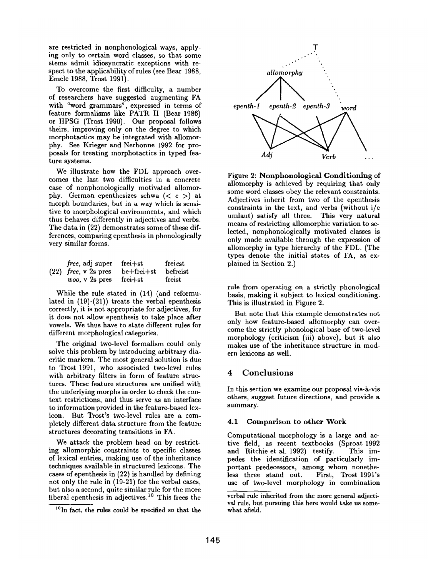are restricted in nonphonological ways, applying only to certain word classes, so that some stems admit idiosyncratic exceptions with respect to the applicability of rules (see Bear 1988, Emele 1988, Trost 1991).

To overcome the first difficulty, a number of researchers have suggested augmenting FA with "word grammars", expressed in terms of feature formalisms like PATR II (Bear 1986) or HPSG (Trost 1990). Our proposal follows theirs, improving only on the degree to which morphotactics may be integrated with allomorphy. See Krieger and Nerbonne 1992 for proposals for treating morphotactics in typed feature systems.

We illustrate how the FDL approach overcomes the last two difficulties in a concrete case of nonphonologically motivated allomorphy. German epenthesizes schwa  $( $e >$ ) at$ morph boundaries, but in a way which is sensitive to morphological environments, and which thus behaves differently in adjectives and verbs. The data in (22) demonstrates some of these differences, comparing epenthesis in phonologically very similar forms.

| free, adj super                | frei+st           | ${\bf freiest}$ |
|--------------------------------|-------------------|-----------------|
| $(22)$ <i>free</i> , v 2s pres | be+frei+st        | befreist        |
| woo, v 2s pres                 | $_{\rm{frei+st}}$ | freist          |

While the rule stated in (14) (and reformulated in (19)-(21)) treats the verbal epenthesis correctly, it is not appropriate for adjectives, for it does not allow epenthesis to take place after vowels. We thus have to state different rules for different morphological categories.

The original two-level formalism could only solve this problem by introducing arbitrary diacritic markers• The most general solution is due to Trost 1991, who associated two-level rules with arbitrary filters in form of feature structures. These feature structures are unified with the underlying morphs in order to check the context restrictions, and thus serve as an interface to information provided in the feature-based lexicon. But Trost's two-level rules are a completely different data structure from the feature structures decorating transitions in FA.

We attack the problem head on by restricting allomorphic constraints to specific classes of lexical entries, making use of the inheritance techniques available in structured lexicons. The cases of epenthesis in (22) is handled by defining not only the rule in (19-21) for the verbal cases, but also a second, quite similar rule for the more liberal epenthesis in adjectives.<sup>10</sup> This frees the



Figure 2: Nonphonological Conditioning of allomorphy is achieved by requiring that only some word classes obey the relevant constraints. Adjectives inherit from two of the epenthesis constraints in the text, and verbs (without i/e umlaut) satisfy all three. This very natural means of restricting allomorphic variation to selected, nonphonologically motivated classes is only made available through the expression of allomorphy in type hierarchy of the FDL. (The types denote the initial states of FA, as explained in Section 2.)

rule from operating on a strictly phonological basis, making it subject to lexical conditioning. This is illustrated in Figure 2.

But note that this example demonstrates not only how feature-based allomorphy can overcome the strictly phonological base of two-level morphology (criticism (iii) above), but it also makes use of the inheritance structure in modern lexicons as well.

## 4 Conclusions

In this section we examine our proposal vis-à-vis others, suggest future directions, and provide a summary.

#### 4.1 Comparison to other Work

Computational morphology is a large and active field, as recent textbooks (Sproat 1992 and Ritchie et al. 1992) testify. This impedes the identification of particularly important predecessors, among whom nonetheless three stand out. First, Trost 1991's use of two-level morphology in combination

<sup>1°</sup>In fact, the rules could be specified so that the

verbal rule inherited from the more general adjectival rule, but pursuing this here would take us somewhat afield.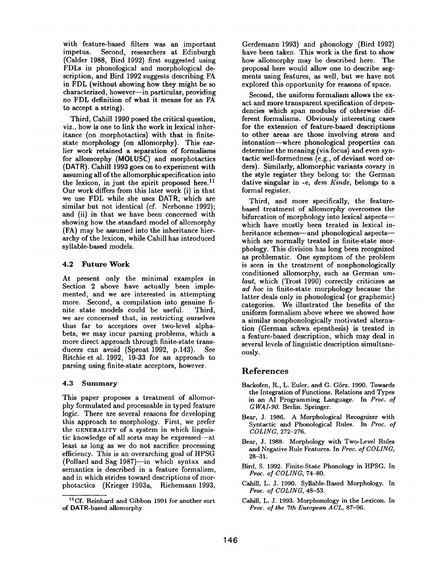with feature-based filters was an important<br>impetus. Second, researchers at Edinburgh Second, researchers at Edinburgh (Calder 1988, Bird 1992) first suggested using FDLs in phonological and morphological description, and Bird 1992 suggests describing FA in FDL (without showing how they might be so characterized, however-in particular, providing no FDL definition of what it means for an FA to accept a string).

Third, Cahill 1990 posed the critical question, viz., how is one to link the work in lexical inheritance (on morphotactics) with that in finitestate morphology (on allomorphy). This earlier work retained a separation of formalisms for allomorphy (MOLUSC) and morphotactics (DATR). Cahill 1993 goes on to experiment with assuming all of the allomorphic specification into the lexicon, in just the spirit proposed here.<sup>11</sup> Our work differs from this later work (i) in that we use FDL while she uses DATR, which are similar but not identical (cf. Nerbonne 1992); and (ii) in that we have been concerned with showing how the standard model of allomorphy (FA) may be assumed into the inheritance hierarchy of the lexicon, while Cahill has introduced syllable-based models.

## 4.2 Future Work

At present only the minimal examples in Section 2 above have actually been implemented, and we are interested in attempting more. Second, a compilation into genuine finite state models could be useful. Third, we are concerned that, in restricting ourselves thus far to acceptors over two-level alphabets, we may incur parsing problems, which a more direct approach through finite-state transducers can avoid (Sproat 1992, p.143). See Ritchie et al. 1992, 19-33 for an approach to parsing using finite-state acceptors, however.

### **4.3 Summary**

This paper proposes a treatment of allomorphy formulated and processable in typed feature logic. There are several reasons for developing this approach to morphology. First, we prefer the GENERALITY of a system in which linguistic knowledge of all sorts may be expressed--at least as long as we do not sacrifice processing efficiency. This is an overarching goal of HPSG (Pollard and Sag 1987)-in which syntax and semantics is described in a feature formalism, and in which strides toward descriptions of morphotactics (Krieger 1993a, Riehemann 1993,

Gerdemann 1993) and phonology (Bird 1992) have been taken. This work is the first to show how allomorphy may be described here. The proposal here would allow one to describe segments using features, as well, but we have not explored this opportunity for reasons of space.

Second, the uniform formalism allows the exact and more transparent specification of dependencies which span modules of otherwise different formalisms. Obviously interesting cases for the extension of feature-based descriptions to other areas are those involving stress and intonation--where phonological properties can determine the meaning (via focus) and even syntactic well-formedness (e.g., of deviant word orders). Similarly, allomorphic variants covary in the style register they belong to: the German dative singular in -e, *dera Kinde,* belongs to a formal register.

Third, and more specifically, the featurebased treatment of allomorphy overcomes the bifurcation of morphology into lexical aspects-which have mostly been treated in lexical inheritance schemes-and phonological aspectswhich are normally treated in finite-state morphology. This division has long been recognized as problematic. One symptom of the problem is seen in the treatment of nonphonologically conditioned allomorphy, such as German *umlaut,* which (Trost 1990) correctly criticizes as *ad hoc* in finite-state morphology because the latter deals only in phonological (or graphemic) categories. We illustrated the benefits of the uniform formalism above where we showed how a similar nonphonologically motivated alternation (German schwa epenthesis) is treated in a feature-based description, which may deal in several levels of linguistic description simultaneously.

# **References**

- Backofen, R., L. Euler, and G. Görz. 1990. Towards the Integration of Functions, Relations and Types in an AI Programming Language. In *Proc. of GWAI-90.* Berlin. Springer.
- Bear, J. 1986. A Morphological Recognizer with Syntactic and Phonological Rules. In *Proc. of COLING,* 272-276.
- Bear, J. 1988. Morphology with Two-Level Rules and Negative Rule Features. In *Proc. of COLING,*  28-31.
- Bird, S. 1992. Finite-State Phonology in HPSG. In *Proc. of COLING,* 74-80.
- Cahill, L. J. 1990. Syllable-Based Morphology. In *Proc. of COLING,* 48-53.
- Cahill, L. J. 1993. Morphonology in the Lexicon. In *Proc. of the 7th European A CL,* 87-96.

<sup>&</sup>lt;sup>11</sup>Cf. Reinhard and Gibbon 1991 for another sort of DATR-based allomorphy